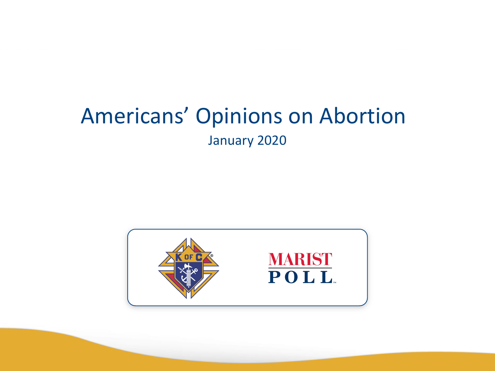## Americans' Opinions on Abortion January 2020

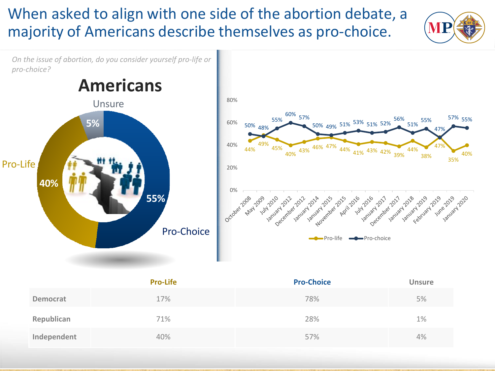#### When asked to align with one side of the abortion debate, a majority of Americans describe themselves as pro-choice.



*On the issue of abortion, do you consider yourself pro-life or pro-choice?*



|             | <b>Pro-Life</b> | <b>Pro-Choice</b> | <b>Unsure</b> |
|-------------|-----------------|-------------------|---------------|
| Democrat    | 17%             | 78%               | 5%            |
| Republican  | 71%             | 28%               | 1%            |
| Independent | 40%             | 57%               | 4%            |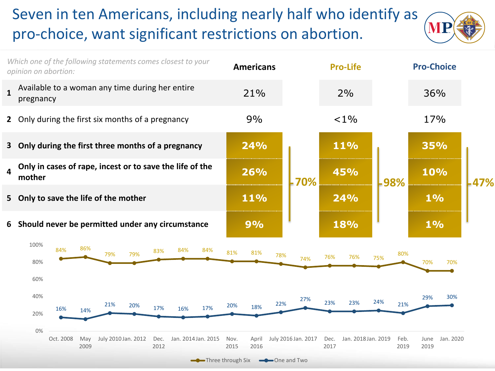### Seven in ten Americans, including nearly half who identify as pro-choice, want significant restrictions on abortion.



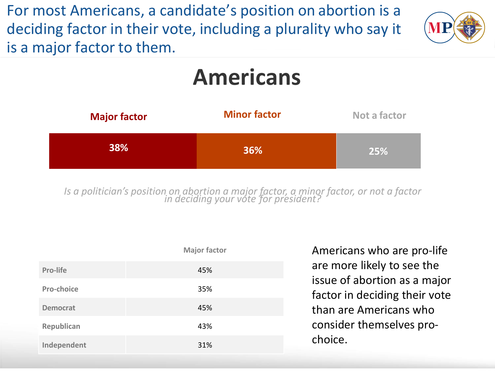For most Americans, a candidate's position on abortion is a deciding factor in their vote, including a plurality who say it is a major factor to them.



# **Americans**



*Is a politician's position on abortion a major factor, a minor factor, or not a factor in deciding your vote for president?*

|                 | <b>Major factor</b> |  |
|-----------------|---------------------|--|
| <b>Pro-life</b> | 45%                 |  |
| Pro-choice      | 35%                 |  |
| <b>Democrat</b> | 45%                 |  |
| Republican      | 43%                 |  |
| Independent     | 31%                 |  |

Americans who are pro-life are more likely to see the issue of abortion as a major factor in deciding their vote than are Americans who consider themselves prochoice.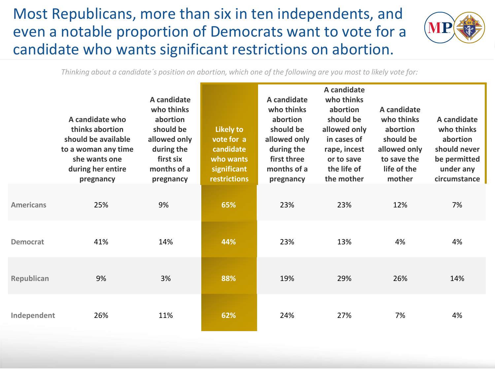Most Republicans, more than six in ten independents, and even a notable proportion of Democrats want to vote for a candidate who wants significant restrictions on abortion.



*Thinking about a candidate´s position on abortion, which one of the following are you most to likely vote for:*

|                  | A candidate who<br>thinks abortion<br>should be available<br>to a woman any time<br>she wants one<br>during her entire<br>pregnancy | A candidate<br>who thinks<br>abortion<br>should be<br>allowed only<br>during the<br>first six<br>months of a<br>pregnancy | <b>Likely to</b><br>vote for a<br>candidate<br>who wants<br>significant<br><b>restrictions</b> | A candidate<br>who thinks<br>abortion<br>should be<br>allowed only<br>during the<br>first three<br>months of a<br>pregnancy | A candidate<br>who thinks<br>abortion<br>should be<br>allowed only<br>in cases of<br>rape, incest<br>or to save<br>the life of<br>the mother | A candidate<br>who thinks<br>abortion<br>should be<br>allowed only<br>to save the<br>life of the<br>mother | A candidate<br>who thinks<br>abortion<br>should never<br>be permitted<br>under any<br>circumstance |
|------------------|-------------------------------------------------------------------------------------------------------------------------------------|---------------------------------------------------------------------------------------------------------------------------|------------------------------------------------------------------------------------------------|-----------------------------------------------------------------------------------------------------------------------------|----------------------------------------------------------------------------------------------------------------------------------------------|------------------------------------------------------------------------------------------------------------|----------------------------------------------------------------------------------------------------|
| <b>Americans</b> | 25%                                                                                                                                 | 9%                                                                                                                        | 65%                                                                                            | 23%                                                                                                                         | 23%                                                                                                                                          | 12%                                                                                                        | 7%                                                                                                 |
| <b>Democrat</b>  | 41%                                                                                                                                 | 14%                                                                                                                       | 44%                                                                                            | 23%                                                                                                                         | 13%                                                                                                                                          | 4%                                                                                                         | 4%                                                                                                 |
| Republican       | 9%                                                                                                                                  | 3%                                                                                                                        | 88%                                                                                            | 19%                                                                                                                         | 29%                                                                                                                                          | 26%                                                                                                        | 14%                                                                                                |
| Independent      | 26%                                                                                                                                 | 11%                                                                                                                       | 62%                                                                                            | 24%                                                                                                                         | 27%                                                                                                                                          | 7%                                                                                                         | 4%                                                                                                 |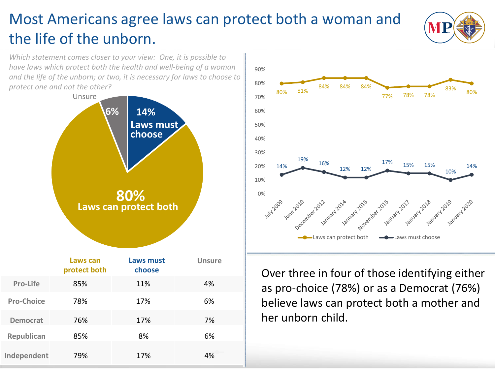## Most Americans agree laws can protect both a woman and the life of the unborn.



*Which statement comes closer to your view: One, it is possible to have laws which protect both the health and well-being of a woman and the life of the unborn; or two, it is necessary for laws to choose to protect one and not the other?*





Over three in four of those identifying either as pro-choice (78%) or as a Democrat (76%) believe laws can protect both a mother and her unborn child.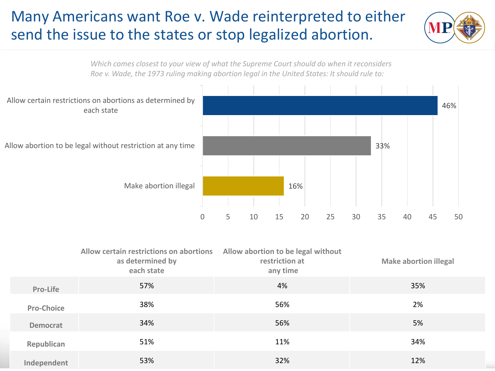#### Many Americans want Roe v. Wade reinterpreted to either send the issue to the states or stop legalized abortion.



*Which comes closest to your view of what the Supreme Court should do when it reconsiders Roe v. Wade, the 1973 ruling making abortion legal in the United States: It should rule to:*



|                   | Allow certain restrictions on abortions<br>as determined by<br>each state | Allow abortion to be legal without<br>restriction at<br>any time | <b>Make abortion illegal</b> |
|-------------------|---------------------------------------------------------------------------|------------------------------------------------------------------|------------------------------|
| Pro-Life          | 57%                                                                       | 4%                                                               | 35%                          |
| <b>Pro-Choice</b> | 38%                                                                       | 56%                                                              | 2%                           |
| <b>Democrat</b>   | 34%                                                                       | 56%                                                              | 5%                           |
| Republican        | 51%                                                                       | 11%                                                              | 34%                          |
| Independent       | 53%                                                                       | 32%                                                              | 12%                          |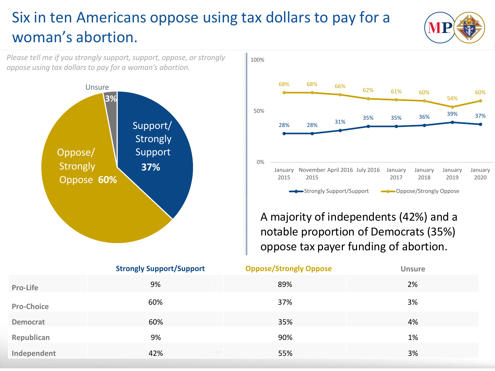### Six in ten Americans oppose using tax dollars to pay for a woman's abortion.



*Please tell me if you strongly support, support, oppose, or strongly* 



A majority of independents (42%) and a notable proportion of Democrats (35%) oppose tax payer funding of abortion.

|                   | <b>Strongly Support/Support</b> | <b>Oppose/Strongly Oppose</b> | <b>Unsure</b> |
|-------------------|---------------------------------|-------------------------------|---------------|
| Pro-Life          | 9%                              | 89%                           | 2%            |
| <b>Pro-Choice</b> | 60%                             | 37%                           | 3%            |
| <b>Democrat</b>   | 60%                             | 35%                           | 4%            |
| Republican        | 9%                              | 90%                           | 1%            |
| Independent       | 42%                             | 55%                           | 3%            |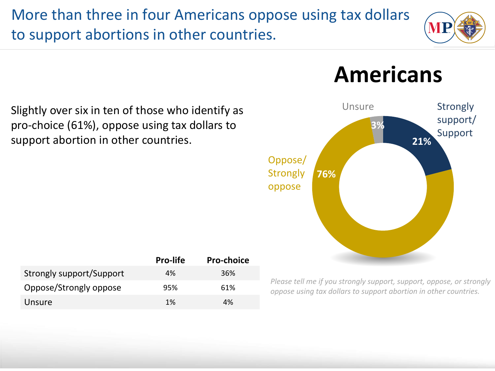More than three in four Americans oppose using tax dollars to support abortions in other countries.



**Americans**



Slightly over six in ten of those who identify as pro-choice (61%), oppose using tax dollars to support abortion in other countries.

|                          | <b>Pro-life</b> | <b>Pro-choice</b> |
|--------------------------|-----------------|-------------------|
| Strongly support/Support | 4%              | 36%               |
| Oppose/Strongly oppose   | 95%             | 61%               |
| Unsure                   | 1%              | 4%                |

*Please tell me if you strongly support, support, oppose, or strongly oppose using tax dollars to support abortion in other countries.*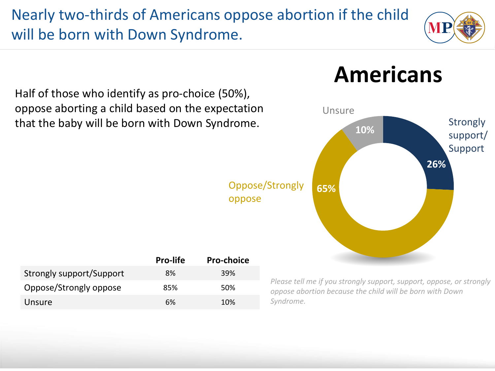Nearly two-thirds of Americans oppose abortion if the child will be born with Down Syndrome.



Half of those who identify as pro-choice (50%), oppose aborting a child based on the expectation that the baby will be born with Down Syndrome.

> Oppose/Strongly oppose

|                          | <b>Pro-life</b> | <b>Pro-choice</b> |
|--------------------------|-----------------|-------------------|
| Strongly support/Support | 8%              | <b>39%</b>        |
| Oppose/Strongly oppose   | 85%             | .50%              |
| Unsure                   | 6%              | 10%               |

# **Americans**



*Please tell me if you strongly support, support, oppose, or strongly oppose abortion because the child will be born with Down Syndrome.*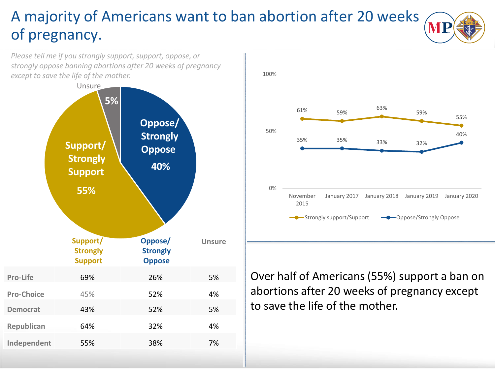### A majority of Americans want to ban abortion after 20 weeks of pregnancy.

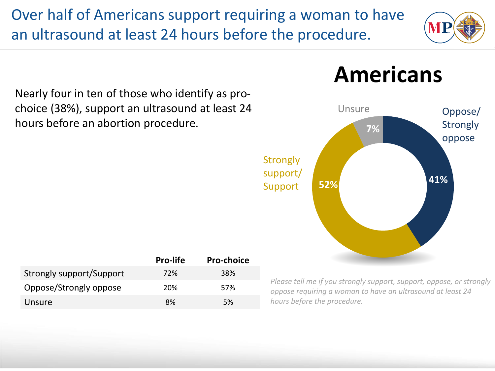Over half of Americans support requiring a woman to have an ultrasound at least 24 hours before the procedure.



Nearly four in ten of those who identify as prochoice (38%), support an ultrasound at least 24 hours before an abortion procedure.



|                          | <b>Pro-life</b> | <b>Pro-choice</b> |
|--------------------------|-----------------|-------------------|
| Strongly support/Support | 72%             | 38%               |
| Oppose/Strongly oppose   | 20%             | 57%               |
| Unsure                   | 8%              | .5%               |

## **Americans**

*Please tell me if you strongly support, support, oppose, or strongly oppose requiring a woman to have an ultrasound at least 24 hours before the procedure.*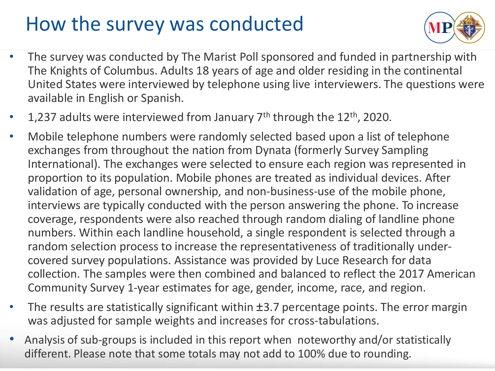# How the survey was conducted



- The survey was conducted by The Marist Poll sponsored and funded in partnership with The Knights of Columbus. Adults 18 years of age and older residing in the continental United States were interviewed by telephone using live interviewers. The questions were available in English or Spanish.
- 1,237 adults were interviewed from January  $7<sup>th</sup>$  through the 12<sup>th</sup>, 2020.
- Mobile telephone numbers were randomly selected based upon a list of telephone exchanges from throughout the nation from Dynata (formerly Survey Sampling International). The exchanges were selected to ensure each region was represented in proportion to its population. Mobile phones are treated as individual devices. After validation of age, personal ownership, and non-business-use of the mobile phone, interviews are typically conducted with the person answering the phone. To increase coverage, respondents were also reached through random dialing of landline phone numbers. Within each landline household, a single respondent is selected through a random selection process to increase the representativeness of traditionally undercovered survey populations. Assistance was provided by Luce Research for data collection. The samples were then combined and balanced to reflect the 2017 American Community Survey 1-year estimates for age, gender, income, race, and region.
- The results are statistically significant within  $\pm$ 3.7 percentage points. The error margin was adjusted for sample weights and increases for cross-tabulations.
- Analysis of sub-groups is included in this report when noteworthy and/or statistically different. Please note that some totals may not add to 100% due to rounding.